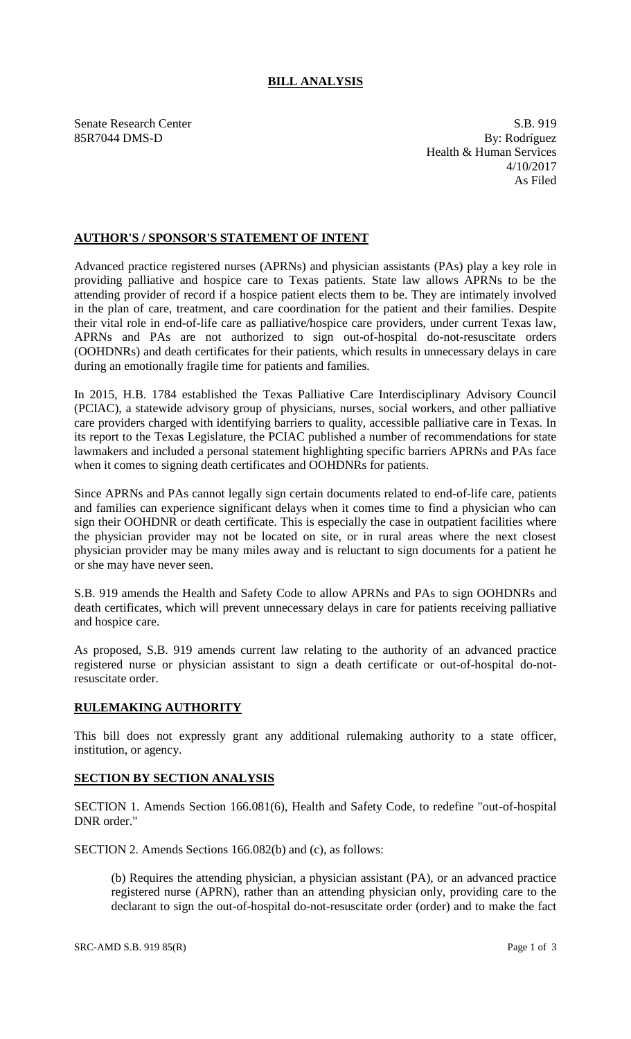## **BILL ANALYSIS**

Senate Research Center S.B. 919 85R7044 DMS-D By: Rodríguez Health & Human Services 4/10/2017 As Filed

## **AUTHOR'S / SPONSOR'S STATEMENT OF INTENT**

Advanced practice registered nurses (APRNs) and physician assistants (PAs) play a key role in providing palliative and hospice care to Texas patients. State law allows APRNs to be the attending provider of record if a hospice patient elects them to be. They are intimately involved in the plan of care, treatment, and care coordination for the patient and their families. Despite their vital role in end-of-life care as palliative/hospice care providers, under current Texas law, APRNs and PAs are not authorized to sign out-of-hospital do-not-resuscitate orders (OOHDNRs) and death certificates for their patients, which results in unnecessary delays in care during an emotionally fragile time for patients and families.

In 2015, H.B. 1784 established the Texas Palliative Care Interdisciplinary Advisory Council (PCIAC), a statewide advisory group of physicians, nurses, social workers, and other palliative care providers charged with identifying barriers to quality, accessible palliative care in Texas. In its report to the Texas Legislature, the PCIAC published a number of recommendations for state lawmakers and included a personal statement highlighting specific barriers APRNs and PAs face when it comes to signing death certificates and OOHDNRs for patients.

Since APRNs and PAs cannot legally sign certain documents related to end-of-life care, patients and families can experience significant delays when it comes time to find a physician who can sign their OOHDNR or death certificate. This is especially the case in outpatient facilities where the physician provider may not be located on site, or in rural areas where the next closest physician provider may be many miles away and is reluctant to sign documents for a patient he or she may have never seen.

S.B. 919 amends the Health and Safety Code to allow APRNs and PAs to sign OOHDNRs and death certificates, which will prevent unnecessary delays in care for patients receiving palliative and hospice care.

As proposed, S.B. 919 amends current law relating to the authority of an advanced practice registered nurse or physician assistant to sign a death certificate or out-of-hospital do-notresuscitate order.

## **RULEMAKING AUTHORITY**

This bill does not expressly grant any additional rulemaking authority to a state officer, institution, or agency.

## **SECTION BY SECTION ANALYSIS**

SECTION 1. Amends Section 166.081(6), Health and Safety Code, to redefine "out-of-hospital DNR order."

SECTION 2. Amends Sections 166.082(b) and (c), as follows:

(b) Requires the attending physician, a physician assistant (PA), or an advanced practice registered nurse (APRN), rather than an attending physician only, providing care to the declarant to sign the out-of-hospital do-not-resuscitate order (order) and to make the fact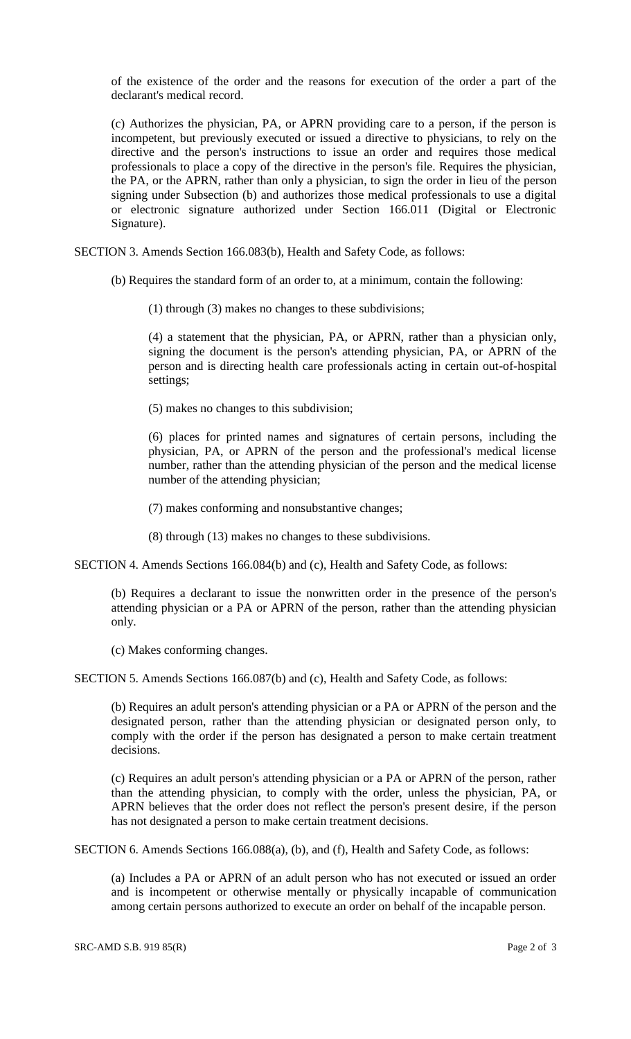of the existence of the order and the reasons for execution of the order a part of the declarant's medical record.

(c) Authorizes the physician, PA, or APRN providing care to a person, if the person is incompetent, but previously executed or issued a directive to physicians, to rely on the directive and the person's instructions to issue an order and requires those medical professionals to place a copy of the directive in the person's file. Requires the physician, the PA, or the APRN, rather than only a physician, to sign the order in lieu of the person signing under Subsection (b) and authorizes those medical professionals to use a digital or electronic signature authorized under Section 166.011 (Digital or Electronic Signature).

SECTION 3. Amends Section 166.083(b), Health and Safety Code, as follows:

(b) Requires the standard form of an order to, at a minimum, contain the following:

(1) through (3) makes no changes to these subdivisions;

(4) a statement that the physician, PA, or APRN, rather than a physician only, signing the document is the person's attending physician, PA, or APRN of the person and is directing health care professionals acting in certain out-of-hospital settings;

(5) makes no changes to this subdivision;

(6) places for printed names and signatures of certain persons, including the physician, PA, or APRN of the person and the professional's medical license number, rather than the attending physician of the person and the medical license number of the attending physician;

(7) makes conforming and nonsubstantive changes;

(8) through (13) makes no changes to these subdivisions.

SECTION 4. Amends Sections 166.084(b) and (c), Health and Safety Code, as follows:

(b) Requires a declarant to issue the nonwritten order in the presence of the person's attending physician or a PA or APRN of the person, rather than the attending physician only.

(c) Makes conforming changes.

SECTION 5. Amends Sections 166.087(b) and (c), Health and Safety Code, as follows:

(b) Requires an adult person's attending physician or a PA or APRN of the person and the designated person, rather than the attending physician or designated person only, to comply with the order if the person has designated a person to make certain treatment decisions.

(c) Requires an adult person's attending physician or a PA or APRN of the person, rather than the attending physician, to comply with the order, unless the physician, PA, or APRN believes that the order does not reflect the person's present desire, if the person has not designated a person to make certain treatment decisions.

SECTION 6. Amends Sections 166.088(a), (b), and (f), Health and Safety Code, as follows:

(a) Includes a PA or APRN of an adult person who has not executed or issued an order and is incompetent or otherwise mentally or physically incapable of communication among certain persons authorized to execute an order on behalf of the incapable person.